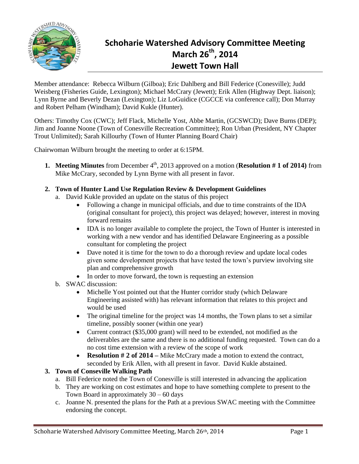

# **Schoharie Watershed Advisory Committee Meeting March 26th, 2014 Jewett Town Hall**

Member attendance: Rebecca Wilburn (Gilboa); Eric Dahlberg and Bill Federice (Conesville); Judd Weisberg (Fisheries Guide, Lexington); Michael McCrary (Jewett); Erik Allen (Highway Dept. liaison); Lynn Byrne and Beverly Dezan (Lexington); Liz LoGuidice (CGCCE via conference call); Don Murray and Robert Pelham (Windham); David Kukle (Hunter).

Others: Timothy Cox (CWC); Jeff Flack, Michelle Yost, Abbe Martin, (GCSWCD); Dave Burns (DEP); Jim and Joanne Noone (Town of Conesville Recreation Committee); Ron Urban (President, NY Chapter Trout Unlimited); Sarah Killourhy (Town of Hunter Planning Board Chair)

Chairwoman Wilburn brought the meeting to order at 6:15PM.

- **1. Meeting Minutes** from December 4<sup>th</sup>, 2013 approved on a motion (**Resolution # 1 of 2014**) from Mike McCrary, seconded by Lynn Byrne with all present in favor.
- **2. Town of Hunter Land Use Regulation Review & Development Guidelines**
	- a. David Kukle provided an update on the status of this project
		- Following a change in municipal officials, and due to time constraints of the IDA (original consultant for project), this project was delayed; however, interest in moving forward remains
		- IDA is no longer available to complete the project, the Town of Hunter is interested in working with a new vendor and has identified Delaware Engineering as a possible consultant for completing the project
		- Dave noted it is time for the town to do a thorough review and update local codes given some development projects that have tested the town's purview involving site plan and comprehensive growth
		- In order to move forward, the town is requesting an extension
	- b. SWAC discussion:
		- Michelle Yost pointed out that the Hunter corridor study (which Delaware Engineering assisted with) has relevant information that relates to this project and would be used
		- The original timeline for the project was 14 months, the Town plans to set a similar timeline, possibly sooner (within one year)
		- Current contract (\$35,000 grant) will need to be extended, not modified as the deliverables are the same and there is no additional funding requested. Town can do a no cost time extension with a review of the scope of work
		- **Resolution # 2 of 2014 –** Mike McCrary made a motion to extend the contract, seconded by Erik Allen, with all present in favor. David Kukle abstained.

## **3. Town of Conseville Walking Path**

- a. Bill Federice noted the Town of Conesville is still interested in advancing the application
- b. They are working on cost estimates and hope to have something complete to present to the Town Board in approximately 30 – 60 days
- c. Joanne N. presented the plans for the Path at a previous SWAC meeting with the Committee endorsing the concept.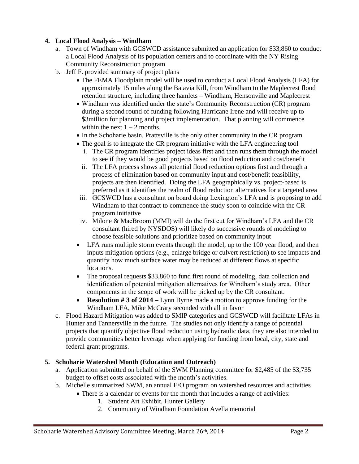# **4. Local Flood Analysis – Windham**

- a. Town of Windham with GCSWCD assistance submitted an application for \$33,860 to conduct a Local Flood Analysis of its population centers and to coordinate with the NY Rising Community Reconstruction program
- b. Jeff F. provided summary of project plans
	- The FEMA Floodplain model will be used to conduct a Local Flood Analysis (LFA) for approximately 15 miles along the Batavia Kill, from Windham to the Maplecrest flood retention structure, including three hamlets – Windham, Hensonville and Maplecrest
	- Windham was identified under the state's Community Reconstruction (CR) program during a second round of funding following Hurricane Irene and will receive up to \$3million for planning and project implementation. That planning will commence within the next  $1 - 2$  months.
	- In the Schoharie basin, Prattsville is the only other community in the CR program
	- The goal is to integrate the CR program initiative with the LFA engineering tool
		- i. The CR program identifies project ideas first and then runs them through the model to see if they would be good projects based on flood reduction and cost/benefit
		- ii. The LFA process shows all potential flood reduction options first and through a process of elimination based on community input and cost/benefit feasibility, projects are then identified. Doing the LFA geographically vs. project-based is preferred as it identifies the realm of flood reduction alternatives for a targeted area
	- iii. GCSWCD has a consultant on board doing Lexington's LFA and is proposing to add Windham to that contract to commence the study soon to coincide with the CR program initiative
	- iv. Milone & MacBroom (MMI) will do the first cut for Windham's LFA and the CR consultant (hired by NYSDOS) will likely do successive rounds of modeling to choose feasible solutions and prioritize based on community input
	- LFA runs multiple storm events through the model, up to the 100 year flood, and then inputs mitigation options (e.g., enlarge bridge or culvert restriction) to see impacts and quantify how much surface water may be reduced at different flows at specific locations.
	- The proposal requests \$33,860 to fund first round of modeling, data collection and identification of potential mitigation alternatives for Windham's study area. Other components in the scope of work will be picked up by the CR consultant.
	- **Resolution # 3 of 2014** Lynn Byrne made a motion to approve funding for the Windham LFA, Mike McCrary seconded with all in favor
- c. Flood Hazard Mitigation was added to SMIP categories and GCSWCD will facilitate LFAs in Hunter and Tannersville in the future. The studies not only identify a range of potential projects that quantify objective flood reduction using hydraulic data, they are also intended to provide communities better leverage when applying for funding from local, city, state and federal grant programs.

## **5. Schoharie Watershed Month (Education and Outreach)**

- a. Application submitted on behalf of the SWM Planning committee for \$2,485 of the \$3,735 budget to offset costs associated with the month's activities.
- b. Michelle summarized SWM, an annual E/O program on watershed resources and activities
	- There is a calendar of events for the month that includes a range of activities:
		- 1. Student Art Exhibit, Hunter Gallery
		- 2. Community of Windham Foundation Avella memorial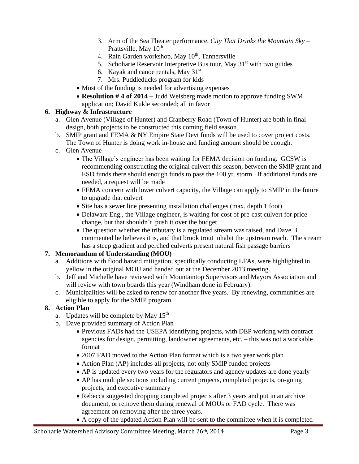- 3. Arm of the Sea Theater performance, *City That Drinks the Mountain Sky* Prattsville, May 10<sup>th</sup>
- 4. Rain Garden workshop, May  $10^{th}$ , Tannersville
- 5. Schoharie Reservoir Interpretive Bus tour, May  $31<sup>st</sup>$  with two guides
- 6. Kayak and canoe rentals, May  $31<sup>st</sup>$
- 7. Mrs. Puddleducks program for kids
- Most of the funding is needed for advertising expenses
- **Resolution # 4 of 2014 –** Judd Weisberg made motion to approve funding SWM application; David Kukle seconded; all in favor

## **6. Highway & Infrastructure**

- a. Glen Avenue (Village of Hunter) and Cranberry Road (Town of Hunter) are both in final design, both projects to be constructed this coming field season
- b. SMIP grant and FEMA & NY Empire State Devt funds will be used to cover project costs. The Town of Hunter is doing work in-house and funding amount should be enough.
- c. Glen Avenue
	- The Village's engineer has been waiting for FEMA decision on funding. GCSW is recommending constructing the original culvert this season, between the SMIP grant and ESD funds there should enough funds to pass the 100 yr. storm. If additional funds are needed, a request will be made
	- FEMA concern with lower culvert capacity, the Village can apply to SMIP in the future to upgrade that culvert
	- Site has a sewer line presenting installation challenges (max. depth 1 foot)
	- Delaware Eng., the Village engineer, is waiting for cost of pre-cast culvert for price change, but that shouldn't push it over the budget
	- The question whether the tributary is a regulated stream was raised, and Dave B. commented he believes it is, and that brook trout inhabit the upstream reach. The stream has a steep gradient and perched culverts present natural fish passage barriers

## **7. Memorandum of Understanding (MOU)**

- a. Additions with flood hazard mitigation, specifically conducting LFAs, were highlighted in yellow in the original MOU and handed out at the December 2013 meeting.
- b. Jeff and Michelle have reviewed with Mountaintop Supervisors and Mayors Association and will review with town boards this year (Windham done in February).
- c. Municipalities will be asked to renew for another five years. By renewing, communities are eligible to apply for the SMIP program.

## **8. Action Plan**

- a. Updates will be complete by May  $15<sup>th</sup>$
- b. Dave provided summary of Action Plan
	- Previous FADs had the USEPA identifying projects, with DEP working with contract agencies for design, permitting, landowner agreements, etc. – this was not a workable format
	- 2007 FAD moved to the Action Plan format which is a two year work plan
	- Action Plan (AP) includes all projects, not only SMIP funded projects
	- AP is updated every two years for the regulators and agency updates are done yearly
	- AP has multiple sections including current projects, completed projects, on-going projects, and executive summary
	- Rebecca suggested dropping completed projects after 3 years and put in an archive document, or remove them during renewal of MOUs or FAD cycle. There was agreement on removing after the three years.
	- A copy of the updated Action Plan will be sent to the committee when it is completed